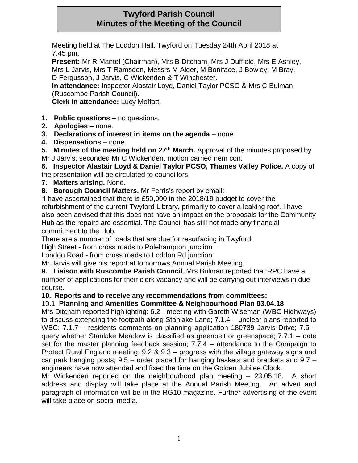# **Twyford Parish Council Minutes of the Meeting of the Council**

Meeting held at The Loddon Hall, Twyford on Tuesday 24th April 2018 at 7.45 pm.

**Present:** Mr R Mantel (Chairman), Mrs B Ditcham, Mrs J Duffield, Mrs E Ashley, Mrs L Jarvis, Mrs T Ramsden, Messrs M Alder, M Boniface, J Bowley, M Bray, D Fergusson, J Jarvis, C Wickenden & T Winchester.

**In attendance:** Inspector Alastair Loyd, Daniel Taylor PCSO & Mrs C Bulman (Ruscombe Parish Council)**.**

**Clerk in attendance:** Lucy Moffatt.

- **1. Public questions –** no questions.
- **2. Apologies –** none.
- **3. Declarations of interest in items on the agenda** none.
- **4. Dispensations** none.
- **5. Minutes of the meeting held on 27th March.** Approval of the minutes proposed by
- Mr J Jarvis, seconded Mr C Wickenden, motion carried nem con.

**6. Inspector Alastair Loyd & Daniel Taylor PCSO, Thames Valley Police.** A copy of the presentation will be circulated to councillors.

- **7. Matters arising.** None.
- **8. Borough Council Matters.** Mr Ferris's report by email:-

"I have ascertained that there is £50,000 in the 2018/19 budget to cover the refurbishment of the current Twyford Library, primarily to cover a leaking roof. I have also been advised that this does not have an impact on the proposals for the Community Hub as the repairs are essential. The Council has still not made any financial commitment to the Hub.

There are a number of roads that are due for resurfacing in Twyford.

High Street - from cross roads to Polehampton junction

London Road - from cross roads to Loddon Rd junction"

Mr Jarvis will give his report at tomorrows Annual Parish Meeting.

**9. Liaison with Ruscombe Parish Council.** Mrs Bulman reported that RPC have a number of applications for their clerk vacancy and will be carrying out interviews in due course.

## **10. Reports and to receive any recommendations from committees:**

## 10.1 **Planning and Amenities Committee & Neighbourhood Plan 03.04.18**

Mrs Ditcham reported highlighting: 6.2 - meeting with Gareth Wiseman (WBC Highways) to discuss extending the footpath along Stanlake Lane; 7.1.4 – unclear plans reported to WBC; 7.1.7 – residents comments on planning application 180739 Jarvis Drive; 7.5 – query whether Stanlake Meadow is classified as greenbelt or greenspace; 7.7.1 – date set for the master planning feedback session; 7.7.4 – attendance to the Campaign to Protect Rural England meeting; 9.2 & 9.3 – progress with the village gateway signs and car park hanging posts; 9.5 – order placed for hanging baskets and brackets and 9.7 – engineers have now attended and fixed the time on the Golden Jubilee Clock.

Mr Wickenden reported on the neighbourhood plan meeting – 23.05.18. A short address and display will take place at the Annual Parish Meeting. An advert and paragraph of information will be in the RG10 magazine. Further advertising of the event will take place on social media.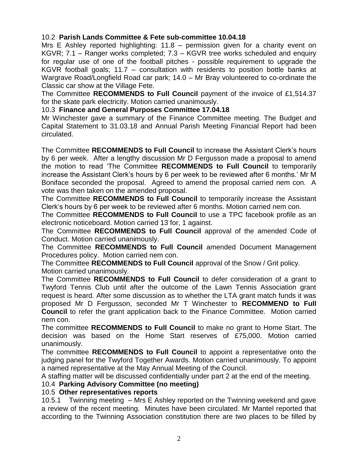## 10.2 **Parish Lands Committee & Fete sub-committee 10.04.18**

Mrs E Ashley reported highlighting: 11.8 – permission given for a charity event on KGVR; 7.1 – Ranger works completed; 7.3 – KGVR tree works scheduled and enquiry for regular use of one of the football pitches - possible requirement to upgrade the KGVR football goals; 11.7 – consultation with residents to position bottle banks at Wargrave Road/Longfield Road car park; 14.0 – Mr Bray volunteered to co-ordinate the Classic car show at the Village Fete.

The Committee **RECOMMENDS to Full Council** payment of the invoice of £1,514.37 for the skate park electricity. Motion carried unanimously.

#### 10.3 **Finance and General Purposes Committee 17.04.18**

Mr Winchester gave a summary of the Finance Committee meeting. The Budget and Capital Statement to 31.03.18 and Annual Parish Meeting Financial Report had been circulated.

The Committee **RECOMMENDS to Full Council** to increase the Assistant Clerk's hours by 6 per week. After a lengthy discussion Mr D Fergusson made a proposal to amend the motion to read 'The Committee **RECOMMENDS to Full Council** to temporarily increase the Assistant Clerk's hours by 6 per week to be reviewed after 6 months.' Mr M Boniface seconded the proposal. Agreed to amend the proposal carried nem con. A vote was then taken on the amended proposal.

The Committee **RECOMMENDS to Full Council** to temporarily increase the Assistant Clerk's hours by 6 per week to be reviewed after 6 months. Motion carried nem con.

The Committee **RECOMMENDS to Full Council** to use a TPC facebook profile as an electronic noticeboard. Motion carried 13 for, 1 against.

The Committee **RECOMMENDS to Full Council** approval of the amended Code of Conduct. Motion carried unanimously.

The Committee **RECOMMENDS to Full Council** amended Document Management Procedures policy. Motion carried nem con.

The Committee **RECOMMENDS to Full Council** approval of the Snow / Grit policy. Motion carried unanimously.

The Committee **RECOMMENDS to Full Council** to defer consideration of a grant to Twyford Tennis Club until after the outcome of the Lawn Tennis Association grant request is heard. After some discussion as to whether the LTA grant match funds it was proposed Mr D Fergusson, seconded Mr T Winchester to **RECOMMEND to Full Council** to refer the grant application back to the Finance Committee. Motion carried nem con.

The committee **RECOMMENDS to Full Council** to make no grant to Home Start. The decision was based on the Home Start reserves of £75,000. Motion carried unanimously.

The committee **RECOMMENDS to Full Council** to appoint a representative onto the judging panel for the Twyford Together Awards. Motion carried unanimously. To appoint a named representative at the May Annual Meeting of the Council.

A staffing matter will be discussed confidentially under part 2 at the end of the meeting.

## 10.4 **Parking Advisory Committee (no meeting)**

## 10.5 **Other representatives reports**

10.5.1 Twinning meeting – Mrs E Ashley reported on the Twinning weekend and gave a review of the recent meeting. Minutes have been circulated. Mr Mantel reported that according to the Twinning Association constitution there are two places to be filled by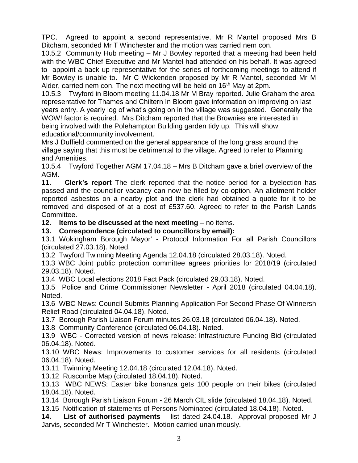TPC. Agreed to appoint a second representative. Mr R Mantel proposed Mrs B Ditcham, seconded Mr T Winchester and the motion was carried nem con.

10.5.2 Community Hub meeting – Mr J Bowley reported that a meeting had been held with the WBC Chief Executive and Mr Mantel had attended on his behalf. It was agreed to appoint a back up representative for the series of forthcoming meetings to attend if Mr Bowley is unable to. Mr C Wickenden proposed by Mr R Mantel, seconded Mr M Alder, carried nem con. The next meeting will be held on  $16<sup>th</sup>$  May at 2pm.

10.5.3 Twyford in Bloom meeting 11.04.18 Mr M Bray reported. Julie Graham the area representative for Thames and Chiltern In Bloom gave information on improving on last years entry. A yearly log of what's going on in the village was suggested. Generally the WOW! factor is required. Mrs Ditcham reported that the Brownies are interested in being involved with the Polehampton Building garden tidy up. This will show educational/community involvement.

Mrs J Duffield commented on the general appearance of the long grass around the village saying that this must be detrimental to the village. Agreed to refer to Planning and Amenities.

10.5.4 Twyford Together AGM 17.04.18 – Mrs B Ditcham gave a brief overview of the AGM.

**11. Clerk's report** The clerk reported that the notice period for a byelection has passed and the councillor vacancy can now be filled by co-option. An allotment holder reported asbestos on a nearby plot and the clerk had obtained a quote for it to be removed and disposed of at a cost of £537.60. Agreed to refer to the Parish Lands Committee.

**12. Items to be discussed at the next meeting** – no items.

#### **13. Correspondence (circulated to councillors by email):**

13.1 Wokingham Borough Mayor' - Protocol Information For all Parish Councillors (circulated 27.03.18). Noted.

13.2 Twyford Twinning Meeting Agenda 12.04.18 (circulated 28.03.18). Noted.

13.3 WBC Joint public protection committee agrees priorities for 2018/19 (circulated 29.03.18). Noted.

13.4 WBC Local elections 2018 Fact Pack (circulated 29.03.18). Noted.

13.5 Police and Crime Commissioner Newsletter - April 2018 (circulated 04.04.18). Noted.

13.6 WBC News: Council Submits Planning Application For Second Phase Of Winnersh Relief Road (circulated 04.04.18). Noted.

13.7 Borough Parish Liaison Forum minutes 26.03.18 (circulated 06.04.18). Noted.

13.8 Community Conference (circulated 06.04.18). Noted.

13.9 WBC - Corrected version of news release: Infrastructure Funding Bid (circulated 06.04.18). Noted.

13.10 WBC News: Improvements to customer services for all residents (circulated 06.04.18). Noted.

13.11 Twinning Meeting 12.04.18 (circulated 12.04.18). Noted.

13.12 Ruscombe Map (circulated 18.04.18). Noted.

13.13 WBC NEWS: Easter bike bonanza gets 100 people on their bikes (circulated 18.04.18). Noted.

13.14 Borough Parish Liaison Forum - 26 March CIL slide (circulated 18.04.18). Noted.

13.15 Notification of statements of Persons Nominated (circulated 18.04.18). Noted.

**14. List of authorised payments** – list dated 24.04.18. Approval proposed Mr J Jarvis, seconded Mr T Winchester. Motion carried unanimously.